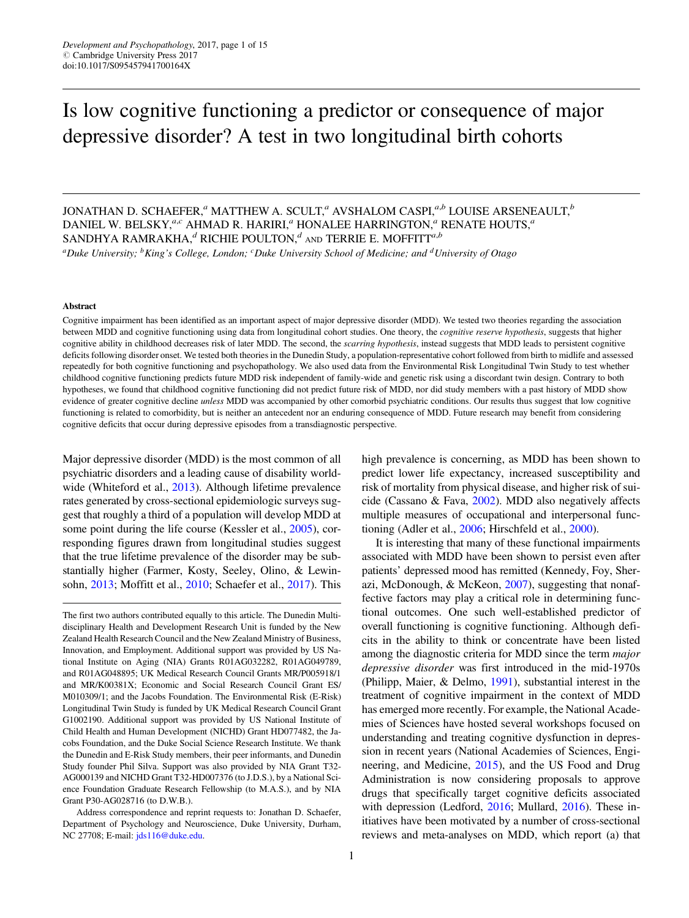# Is low cognitive functioning a predictor or consequence of major depressive disorder? A test in two longitudinal birth cohorts

JONATHAN D. SCHAEFER,<sup> $a$ </sup> MATTHEW A. SCULT, $a$ <sup>A</sup> AVSHALOM CASPI, $a$ , $b$  LOUISE ARSENEAULT, $b$ DANIEL W. BELSKY,  $a, c$  AHMAD R. HARIRI, $a$  HONALEE HARRINGTON, $a$  RENATE HOUTS, $a$ SANDHYA RAMRAKHA, $d$  RICHIE POULTON, $d$  and TERRIE E. MOFFITT $a,b$ 

<sup>a</sup>Duke University; <sup>b</sup>King's College, London; <sup>c</sup>Duke University School of Medicine; and <sup>d</sup>University of Otago

## Abstract

Cognitive impairment has been identified as an important aspect of major depressive disorder (MDD). We tested two theories regarding the association between MDD and cognitive functioning using data from longitudinal cohort studies. One theory, the *cognitive reserve hypothesis*, suggests that higher cognitive ability in childhood decreases risk of later MDD. The second, the scarring hypothesis, instead suggests that MDD leads to persistent cognitive deficits following disorder onset. We tested both theories in the Dunedin Study, a population-representative cohort followed from birth to midlife and assessed repeatedly for both cognitive functioning and psychopathology. We also used data from the Environmental Risk Longitudinal Twin Study to test whether childhood cognitive functioning predicts future MDD risk independent of family-wide and genetic risk using a discordant twin design. Contrary to both hypotheses, we found that childhood cognitive functioning did not predict future risk of MDD, nor did study members with a past history of MDD show evidence of greater cognitive decline unless MDD was accompanied by other comorbid psychiatric conditions. Our results thus suggest that low cognitive functioning is related to comorbidity, but is neither an antecedent nor an enduring consequence of MDD. Future research may benefit from considering cognitive deficits that occur during depressive episodes from a transdiagnostic perspective.

Major depressive disorder (MDD) is the most common of all psychiatric disorders and a leading cause of disability world-wide (Whiteford et al., [2013](#page-14-0)). Although lifetime prevalence rates generated by cross-sectional epidemiologic surveys suggest that roughly a third of a population will develop MDD at some point during the life course (Kessler et al., [2005\)](#page-13-0), corresponding figures drawn from longitudinal studies suggest that the true lifetime prevalence of the disorder may be substantially higher (Farmer, Kosty, Seeley, Olino, & Lewinsohn, [2013](#page-12-0); Moffitt et al., [2010](#page-13-0); Schaefer et al., [2017\)](#page-13-0). This high prevalence is concerning, as MDD has been shown to predict lower life expectancy, increased susceptibility and risk of mortality from physical disease, and higher risk of suicide (Cassano & Fava, [2002](#page-12-0)). MDD also negatively affects multiple measures of occupational and interpersonal functioning (Adler et al., [2006](#page-12-0); Hirschfeld et al., [2000\)](#page-12-0).

It is interesting that many of these functional impairments associated with MDD have been shown to persist even after patients' depressed mood has remitted (Kennedy, Foy, Sherazi, McDonough, & McKeon, [2007](#page-13-0)), suggesting that nonaffective factors may play a critical role in determining functional outcomes. One such well-established predictor of overall functioning is cognitive functioning. Although deficits in the ability to think or concentrate have been listed among the diagnostic criteria for MDD since the term *major* depressive disorder was first introduced in the mid-1970s (Philipp, Maier, & Delmo, [1991\)](#page-13-0), substantial interest in the treatment of cognitive impairment in the context of MDD has emerged more recently. For example, the National Academies of Sciences have hosted several workshops focused on understanding and treating cognitive dysfunction in depression in recent years (National Academies of Sciences, Engineering, and Medicine, [2015\)](#page-13-0), and the US Food and Drug Administration is now considering proposals to approve drugs that specifically target cognitive deficits associated with depression (Ledford, [2016](#page-13-0); Mullard, [2016\)](#page-13-0). These initiatives have been motivated by a number of cross-sectional reviews and meta-analyses on MDD, which report (a) that

The first two authors contributed equally to this article. The Dunedin Multidisciplinary Health and Development Research Unit is funded by the New Zealand Health Research Council and the New Zealand Ministry of Business, Innovation, and Employment. Additional support was provided by US National Institute on Aging (NIA) Grants R01AG032282, R01AG049789, and R01AG048895; UK Medical Research Council Grants MR/P005918/1 and MR/K00381X; Economic and Social Research Council Grant ES/ M010309/1; and the Jacobs Foundation. The Environmental Risk (E-Risk) Longitudinal Twin Study is funded by UK Medical Research Council Grant G1002190. Additional support was provided by US National Institute of Child Health and Human Development (NICHD) Grant HD077482, the Jacobs Foundation, and the Duke Social Science Research Institute. We thank the Dunedin and E-Risk Study members, their peer informants, and Dunedin Study founder Phil Silva. Support was also provided by NIA Grant T32- AG000139 and NICHD Grant T32-HD007376 (to J.D.S.), by a National Science Foundation Graduate Research Fellowship (to M.A.S.), and by NIA Grant P30-AG028716 (to D.W.B.).

Address correspondence and reprint requests to: Jonathan D. Schaefer, Department of Psychology and Neuroscience, Duke University, Durham, NC 27708; E-mail: [jds116@duke.edu.](mailto:jds116@duke.edu)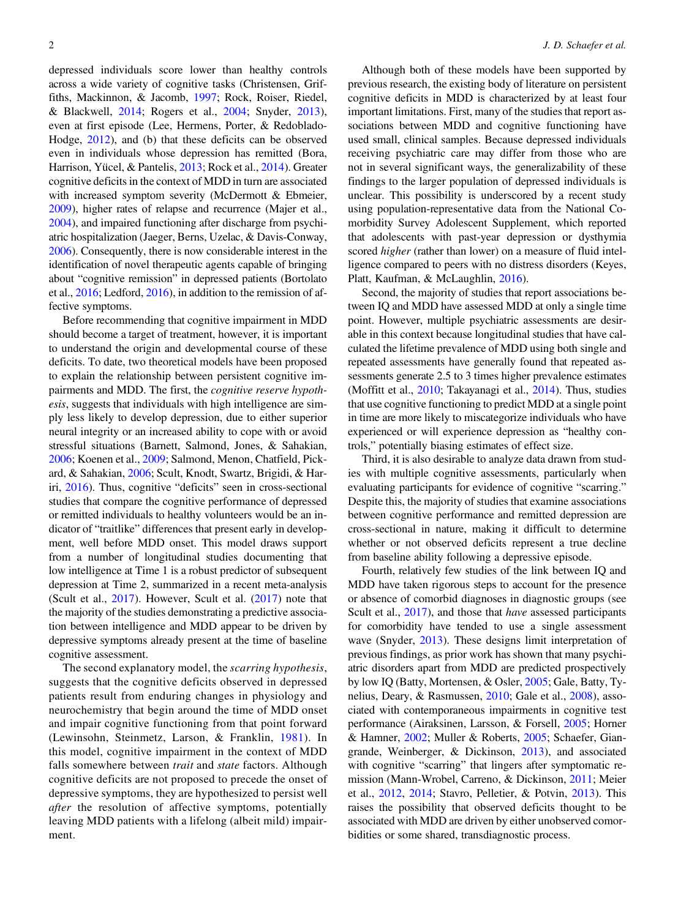depressed individuals score lower than healthy controls across a wide variety of cognitive tasks (Christensen, Griffiths, Mackinnon, & Jacomb, [1997;](#page-12-0) Rock, Roiser, Riedel, & Blackwell, [2014](#page-13-0); Rogers et al., [2004;](#page-13-0) Snyder, [2013](#page-14-0)), even at first episode (Lee, Hermens, Porter, & Redoblado-Hodge, [2012](#page-13-0)), and (b) that these deficits can be observed even in individuals whose depression has remitted (Bora, Harrison, Yücel, & Pantelis, [2013;](#page-12-0) Rock et al., [2014](#page-13-0)). Greater cognitive deficits in the context of MDD in turn are associated with increased symptom severity (McDermott & Ebmeier, [2009\)](#page-13-0), higher rates of relapse and recurrence (Majer et al., [2004\)](#page-13-0), and impaired functioning after discharge from psychiatric hospitalization (Jaeger, Berns, Uzelac, & Davis-Conway, [2006\)](#page-13-0). Consequently, there is now considerable interest in the identification of novel therapeutic agents capable of bringing about "cognitive remission" in depressed patients (Bortolato et al., [2016;](#page-12-0) Ledford, [2016\)](#page-13-0), in addition to the remission of affective symptoms.

Before recommending that cognitive impairment in MDD should become a target of treatment, however, it is important to understand the origin and developmental course of these deficits. To date, two theoretical models have been proposed to explain the relationship between persistent cognitive impairments and MDD. The first, the cognitive reserve hypothesis, suggests that individuals with high intelligence are simply less likely to develop depression, due to either superior neural integrity or an increased ability to cope with or avoid stressful situations (Barnett, Salmond, Jones, & Sahakian, [2006](#page-12-0); Koenen et al., [2009;](#page-13-0) Salmond, Menon, Chatfield, Pickard, & Sahakian, [2006](#page-13-0); Scult, Knodt, Swartz, Brigidi, & Hariri, [2016](#page-13-0)). Thus, cognitive "deficits" seen in cross-sectional studies that compare the cognitive performance of depressed or remitted individuals to healthy volunteers would be an indicator of "traitlike" differences that present early in development, well before MDD onset. This model draws support from a number of longitudinal studies documenting that low intelligence at Time 1 is a robust predictor of subsequent depression at Time 2, summarized in a recent meta-analysis (Scult et al., [2017](#page-13-0)). However, Scult et al. [\(2017](#page-13-0)) note that the majority of the studies demonstrating a predictive association between intelligence and MDD appear to be driven by depressive symptoms already present at the time of baseline cognitive assessment.

The second explanatory model, the scarring hypothesis, suggests that the cognitive deficits observed in depressed patients result from enduring changes in physiology and neurochemistry that begin around the time of MDD onset and impair cognitive functioning from that point forward (Lewinsohn, Steinmetz, Larson, & Franklin, [1981](#page-13-0)). In this model, cognitive impairment in the context of MDD falls somewhere between trait and state factors. Although cognitive deficits are not proposed to precede the onset of depressive symptoms, they are hypothesized to persist well *after* the resolution of affective symptoms, potentially leaving MDD patients with a lifelong (albeit mild) impairment.

Although both of these models have been supported by previous research, the existing body of literature on persistent cognitive deficits in MDD is characterized by at least four important limitations. First, many of the studies that report associations between MDD and cognitive functioning have used small, clinical samples. Because depressed individuals receiving psychiatric care may differ from those who are not in several significant ways, the generalizability of these findings to the larger population of depressed individuals is unclear. This possibility is underscored by a recent study using population-representative data from the National Comorbidity Survey Adolescent Supplement, which reported that adolescents with past-year depression or dysthymia scored higher (rather than lower) on a measure of fluid intelligence compared to peers with no distress disorders (Keyes, Platt, Kaufman, & McLaughlin, [2016](#page-13-0)).

Second, the majority of studies that report associations between IQ and MDD have assessed MDD at only a single time point. However, multiple psychiatric assessments are desirable in this context because longitudinal studies that have calculated the lifetime prevalence of MDD using both single and repeated assessments have generally found that repeated assessments generate 2.5 to 3 times higher prevalence estimates (Moffitt et al., [2010;](#page-13-0) Takayanagi et al., [2014\)](#page-14-0). Thus, studies that use cognitive functioning to predict MDD at a single point in time are more likely to miscategorize individuals who have experienced or will experience depression as "healthy controls," potentially biasing estimates of effect size.

Third, it is also desirable to analyze data drawn from studies with multiple cognitive assessments, particularly when evaluating participants for evidence of cognitive "scarring." Despite this, the majority of studies that examine associations between cognitive performance and remitted depression are cross-sectional in nature, making it difficult to determine whether or not observed deficits represent a true decline from baseline ability following a depressive episode.

Fourth, relatively few studies of the link between IQ and MDD have taken rigorous steps to account for the presence or absence of comorbid diagnoses in diagnostic groups (see Scult et al., [2017](#page-13-0)), and those that have assessed participants for comorbidity have tended to use a single assessment wave (Snyder, [2013\)](#page-14-0). These designs limit interpretation of previous findings, as prior work has shown that many psychiatric disorders apart from MDD are predicted prospectively by low IQ (Batty, Mortensen, & Osler, [2005](#page-12-0); Gale, Batty, Tynelius, Deary, & Rasmussen, [2010](#page-12-0); Gale et al., [2008](#page-12-0)), associated with contemporaneous impairments in cognitive test performance (Airaksinen, Larsson, & Forsell, [2005](#page-12-0); Horner & Hamner, [2002](#page-12-0); Muller & Roberts, [2005](#page-13-0); Schaefer, Giangrande, Weinberger, & Dickinson, [2013](#page-13-0)), and associated with cognitive "scarring" that lingers after symptomatic remission (Mann-Wrobel, Carreno, & Dickinson, [2011](#page-13-0); Meier et al., [2012,](#page-13-0) [2014;](#page-13-0) Stavro, Pelletier, & Potvin, [2013\)](#page-14-0). This raises the possibility that observed deficits thought to be associated with MDD are driven by either unobserved comorbidities or some shared, transdiagnostic process.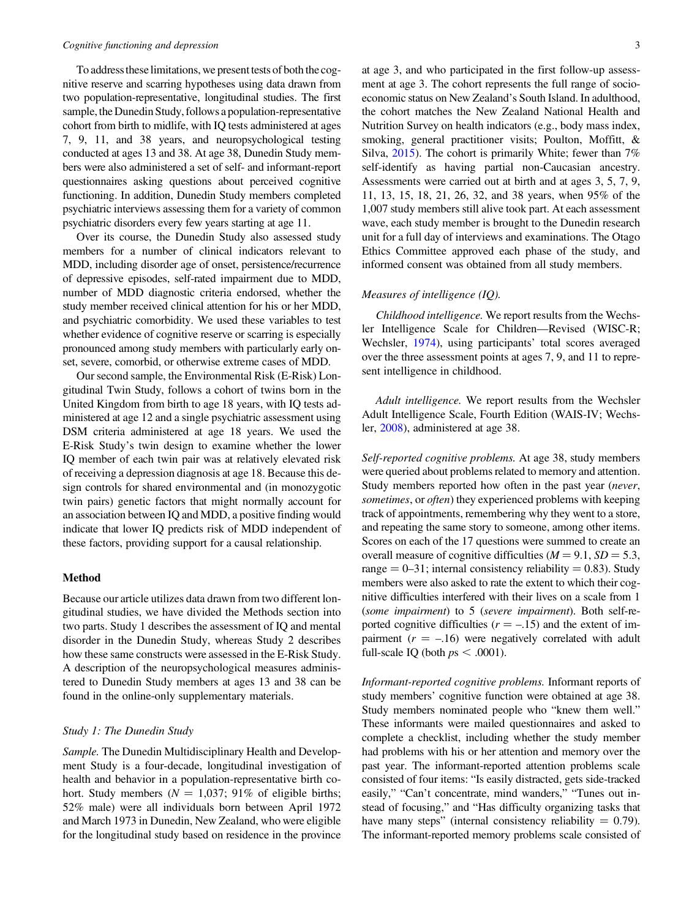To addressthese limitations, we present tests of both the cognitive reserve and scarring hypotheses using data drawn from two population-representative, longitudinal studies. The first sample, the Dunedin Study, follows a population-representative cohort from birth to midlife, with IQ tests administered at ages 7, 9, 11, and 38 years, and neuropsychological testing conducted at ages 13 and 38. At age 38, Dunedin Study members were also administered a set of self- and informant-report questionnaires asking questions about perceived cognitive functioning. In addition, Dunedin Study members completed psychiatric interviews assessing them for a variety of common psychiatric disorders every few years starting at age 11.

Over its course, the Dunedin Study also assessed study members for a number of clinical indicators relevant to MDD, including disorder age of onset, persistence/recurrence of depressive episodes, self-rated impairment due to MDD, number of MDD diagnostic criteria endorsed, whether the study member received clinical attention for his or her MDD, and psychiatric comorbidity. We used these variables to test whether evidence of cognitive reserve or scarring is especially pronounced among study members with particularly early onset, severe, comorbid, or otherwise extreme cases of MDD.

Our second sample, the Environmental Risk (E-Risk) Longitudinal Twin Study, follows a cohort of twins born in the United Kingdom from birth to age 18 years, with IQ tests administered at age 12 and a single psychiatric assessment using DSM criteria administered at age 18 years. We used the E-Risk Study's twin design to examine whether the lower IQ member of each twin pair was at relatively elevated risk of receiving a depression diagnosis at age 18. Because this design controls for shared environmental and (in monozygotic twin pairs) genetic factors that might normally account for an association between IQ and MDD, a positive finding would indicate that lower IQ predicts risk of MDD independent of these factors, providing support for a causal relationship.

### Method

Because our article utilizes data drawn from two different longitudinal studies, we have divided the Methods section into two parts. Study 1 describes the assessment of IQ and mental disorder in the Dunedin Study, whereas Study 2 describes how these same constructs were assessed in the E-Risk Study. A description of the neuropsychological measures administered to Dunedin Study members at ages 13 and 38 can be found in the online-only supplementary materials.

## Study 1: The Dunedin Study

Sample. The Dunedin Multidisciplinary Health and Development Study is a four-decade, longitudinal investigation of health and behavior in a population-representative birth cohort. Study members ( $N = 1,037$ ; 91% of eligible births; 52% male) were all individuals born between April 1972 and March 1973 in Dunedin, New Zealand, who were eligible for the longitudinal study based on residence in the province

at age 3, and who participated in the first follow-up assessment at age 3. The cohort represents the full range of socioeconomic status on New Zealand's South Island. In adulthood, the cohort matches the New Zealand National Health and Nutrition Survey on health indicators (e.g., body mass index, smoking, general practitioner visits; Poulton, Moffitt, & Silva, [2015\)](#page-13-0). The cohort is primarily White; fewer than  $7\%$ self-identify as having partial non-Caucasian ancestry. Assessments were carried out at birth and at ages 3, 5, 7, 9, 11, 13, 15, 18, 21, 26, 32, and 38 years, when 95% of the 1,007 study members still alive took part. At each assessment wave, each study member is brought to the Dunedin research unit for a full day of interviews and examinations. The Otago Ethics Committee approved each phase of the study, and informed consent was obtained from all study members.

## Measures of intelligence (IQ).

Childhood intelligence. We report results from the Wechsler Intelligence Scale for Children—Revised (WISC-R; Wechsler, [1974\)](#page-14-0), using participants' total scores averaged over the three assessment points at ages 7, 9, and 11 to represent intelligence in childhood.

Adult intelligence. We report results from the Wechsler Adult Intelligence Scale, Fourth Edition (WAIS-IV; Wechsler, [2008\)](#page-14-0), administered at age 38.

Self-reported cognitive problems. At age 38, study members were queried about problems related to memory and attention. Study members reported how often in the past year (never, sometimes, or often) they experienced problems with keeping track of appointments, remembering why they went to a store, and repeating the same story to someone, among other items. Scores on each of the 17 questions were summed to create an overall measure of cognitive difficulties ( $M = 9.1$ ,  $SD = 5.3$ , range  $= 0-31$ ; internal consistency reliability  $= 0.83$ ). Study members were also asked to rate the extent to which their cognitive difficulties interfered with their lives on a scale from 1 (some impairment) to 5 (severe impairment). Both self-reported cognitive difficulties ( $r = -.15$ ) and the extent of impairment  $(r = -16)$  were negatively correlated with adult full-scale IQ (both  $ps < .0001$ ).

Informant-reported cognitive problems. Informant reports of study members' cognitive function were obtained at age 38. Study members nominated people who "knew them well." These informants were mailed questionnaires and asked to complete a checklist, including whether the study member had problems with his or her attention and memory over the past year. The informant-reported attention problems scale consisted of four items: "Is easily distracted, gets side-tracked easily," "Can't concentrate, mind wanders," "Tunes out instead of focusing," and "Has difficulty organizing tasks that have many steps" (internal consistency reliability  $= 0.79$ ). The informant-reported memory problems scale consisted of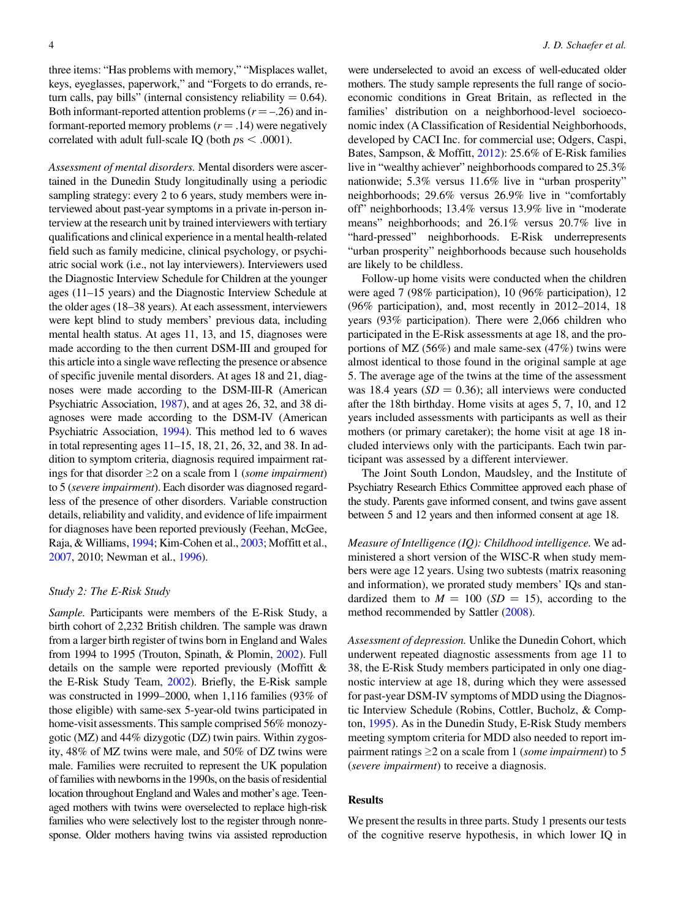three items: "Has problems with memory," "Misplaces wallet, keys, eyeglasses, paperwork," and "Forgets to do errands, return calls, pay bills" (internal consistency reliability  $= 0.64$ ). Both informant-reported attention problems  $(r = -.26)$  and informant-reported memory problems  $(r = .14)$  were negatively correlated with adult full-scale IQ (both  $ps < .0001$ ).

Assessment of mental disorders. Mental disorders were ascertained in the Dunedin Study longitudinally using a periodic sampling strategy: every 2 to 6 years, study members were interviewed about past-year symptoms in a private in-person interview at the research unit by trained interviewers with tertiary qualifications and clinical experience in a mental health-related field such as family medicine, clinical psychology, or psychiatric social work (i.e., not lay interviewers). Interviewers used the Diagnostic Interview Schedule for Children at the younger ages (11–15 years) and the Diagnostic Interview Schedule at the older ages (18–38 years). At each assessment, interviewers were kept blind to study members' previous data, including mental health status. At ages 11, 13, and 15, diagnoses were made according to the then current DSM-III and grouped for this article into a single wave reflecting the presence or absence of specific juvenile mental disorders. At ages 18 and 21, diagnoses were made according to the DSM-III-R (American Psychiatric Association, [1987\)](#page-12-0), and at ages 26, 32, and 38 diagnoses were made according to the DSM-IV (American Psychiatric Association, [1994\)](#page-12-0). This method led to 6 waves in total representing ages 11–15, 18, 21, 26, 32, and 38. In addition to symptom criteria, diagnosis required impairment ratings for that disorder  $\geq$  2 on a scale from 1 (some impairment) to 5 (severe impairment). Each disorder was diagnosed regardless of the presence of other disorders. Variable construction details, reliability and validity, and evidence of life impairment for diagnoses have been reported previously (Feehan, McGee, Raja, & Williams, [1994;](#page-12-0) Kim-Cohen et al., [2003](#page-13-0); Moffitt et al., [2007,](#page-13-0) 2010; Newman et al., [1996\)](#page-13-0).

## Study 2: The E-Risk Study

Sample. Participants were members of the E-Risk Study, a birth cohort of 2,232 British children. The sample was drawn from a larger birth register of twins born in England and Wales from 1994 to 1995 (Trouton, Spinath, & Plomin, [2002\)](#page-14-0). Full details on the sample were reported previously (Moffitt & the E-Risk Study Team, [2002](#page-13-0)). Briefly, the E-Risk sample was constructed in 1999–2000, when 1,116 families (93% of those eligible) with same-sex 5-year-old twins participated in home-visit assessments. This sample comprised 56% monozygotic (MZ) and 44% dizygotic (DZ) twin pairs. Within zygosity, 48% of MZ twins were male, and 50% of DZ twins were male. Families were recruited to represent the UK population of families with newborns in the 1990s, on the basis of residential location throughout England and Wales and mother's age. Teenaged mothers with twins were overselected to replace high-risk families who were selectively lost to the register through nonresponse. Older mothers having twins via assisted reproduction

were underselected to avoid an excess of well-educated older mothers. The study sample represents the full range of socioeconomic conditions in Great Britain, as reflected in the families' distribution on a neighborhood-level socioeconomic index (A Classification of Residential Neighborhoods, developed by CACI Inc. for commercial use; Odgers, Caspi, Bates, Sampson, & Moffitt, [2012](#page-13-0)): 25.6% of E-Risk families live in "wealthy achiever" neighborhoods compared to 25.3% nationwide; 5.3% versus 11.6% live in "urban prosperity" neighborhoods; 29.6% versus 26.9% live in "comfortably off" neighborhoods; 13.4% versus 13.9% live in "moderate means" neighborhoods; and 26.1% versus 20.7% live in "hard-pressed" neighborhoods. E-Risk underrepresents "urban prosperity" neighborhoods because such households are likely to be childless.

Follow-up home visits were conducted when the children were aged 7 (98% participation), 10 (96% participation), 12 (96% participation), and, most recently in 2012–2014, 18 years (93% participation). There were 2,066 children who participated in the E-Risk assessments at age 18, and the proportions of MZ (56%) and male same-sex (47%) twins were almost identical to those found in the original sample at age 5. The average age of the twins at the time of the assessment was 18.4 years ( $SD = 0.36$ ); all interviews were conducted after the 18th birthday. Home visits at ages 5, 7, 10, and 12 years included assessments with participants as well as their mothers (or primary caretaker); the home visit at age 18 included interviews only with the participants. Each twin participant was assessed by a different interviewer.

The Joint South London, Maudsley, and the Institute of Psychiatry Research Ethics Committee approved each phase of the study. Parents gave informed consent, and twins gave assent between 5 and 12 years and then informed consent at age 18.

Measure of Intelligence (IQ): Childhood intelligence. We administered a short version of the WISC-R when study members were age 12 years. Using two subtests (matrix reasoning and information), we prorated study members' IQs and standardized them to  $M = 100$  (SD = 15), according to the method recommended by Sattler ([2008\)](#page-13-0).

Assessment of depression. Unlike the Dunedin Cohort, which underwent repeated diagnostic assessments from age 11 to 38, the E-Risk Study members participated in only one diagnostic interview at age 18, during which they were assessed for past-year DSM-IV symptoms of MDD using the Diagnostic Interview Schedule (Robins, Cottler, Bucholz, & Compton, [1995\)](#page-13-0). As in the Dunedin Study, E-Risk Study members meeting symptom criteria for MDD also needed to report impairment ratings  $\geq$  2 on a scale from 1 (some impairment) to 5 (severe impairment) to receive a diagnosis.

## Results

We present the results in three parts. Study 1 presents our tests of the cognitive reserve hypothesis, in which lower IQ in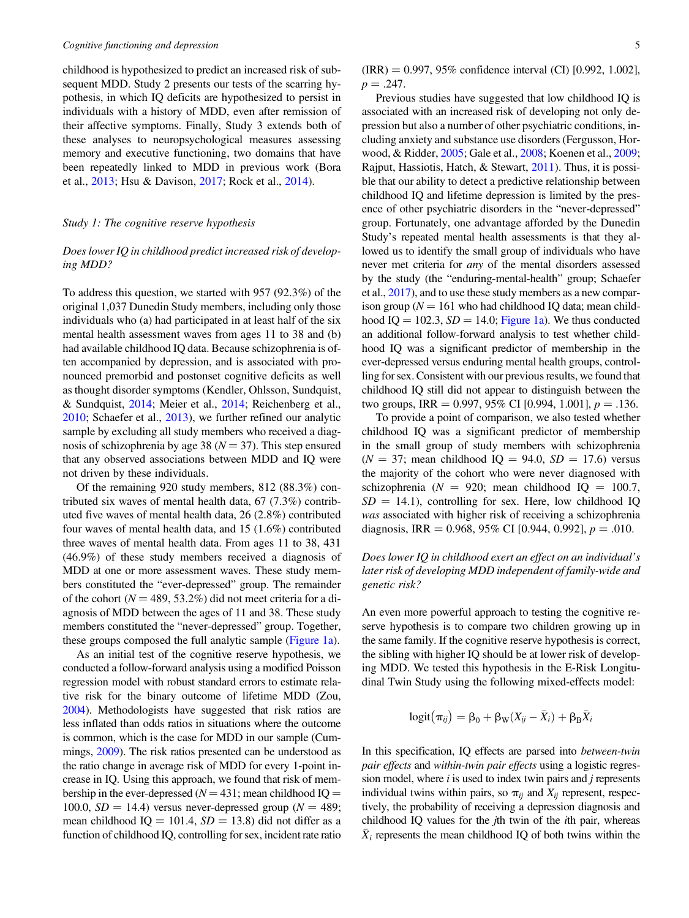childhood is hypothesized to predict an increased risk of subsequent MDD. Study 2 presents our tests of the scarring hypothesis, in which IQ deficits are hypothesized to persist in individuals with a history of MDD, even after remission of their affective symptoms. Finally, Study 3 extends both of these analyses to neuropsychological measures assessing memory and executive functioning, two domains that have been repeatedly linked to MDD in previous work (Bora et al., [2013;](#page-12-0) Hsu & Davison, [2017;](#page-12-0) Rock et al., [2014\)](#page-13-0).

# Study 1: The cognitive reserve hypothesis

# Does lower IQ in childhood predict increased risk of developing MDD?

To address this question, we started with 957 (92.3%) of the original 1,037 Dunedin Study members, including only those individuals who (a) had participated in at least half of the six mental health assessment waves from ages 11 to 38 and (b) had available childhood IQ data. Because schizophrenia is often accompanied by depression, and is associated with pronounced premorbid and postonset cognitive deficits as well as thought disorder symptoms (Kendler, Ohlsson, Sundquist, & Sundquist, [2014](#page-13-0); Meier et al., [2014](#page-13-0); Reichenberg et al., [2010](#page-13-0); Schaefer et al., [2013\)](#page-13-0), we further refined our analytic sample by excluding all study members who received a diagnosis of schizophrenia by age 38 ( $N = 37$ ). This step ensured that any observed associations between MDD and IQ were not driven by these individuals.

Of the remaining 920 study members, 812 (88.3%) contributed six waves of mental health data, 67 (7.3%) contributed five waves of mental health data, 26 (2.8%) contributed four waves of mental health data, and 15 (1.6%) contributed three waves of mental health data. From ages 11 to 38, 431 (46.9%) of these study members received a diagnosis of MDD at one or more assessment waves. These study members constituted the "ever-depressed" group. The remainder of the cohort ( $N = 489, 53.2\%$ ) did not meet criteria for a diagnosis of MDD between the ages of 11 and 38. These study members constituted the "never-depressed" group. Together, these groups composed the full analytic sample ([Figure 1a](#page-5-0)).

As an initial test of the cognitive reserve hypothesis, we conducted a follow-forward analysis using a modified Poisson regression model with robust standard errors to estimate relative risk for the binary outcome of lifetime MDD (Zou, [2004\)](#page-14-0). Methodologists have suggested that risk ratios are less inflated than odds ratios in situations where the outcome is common, which is the case for MDD in our sample (Cummings, [2009\)](#page-12-0). The risk ratios presented can be understood as the ratio change in average risk of MDD for every 1-point increase in IQ. Using this approach, we found that risk of membership in the ever-depressed ( $N = 431$ ; mean childhood IQ = 100.0,  $SD = 14.4$ ) versus never-depressed group ( $N = 489$ ; mean childhood IQ = 101.4,  $SD = 13.8$ ) did not differ as a function of childhood IQ, controlling for sex, incident rate ratio

 $(IRR) = 0.997, 95\%$  confidence interval  $(CI)$  [0.992, 1.002],  $p = .247$ .

Previous studies have suggested that low childhood IQ is associated with an increased risk of developing not only depression but also a number of other psychiatric conditions, including anxiety and substance use disorders (Fergusson, Horwood, & Ridder, [2005;](#page-12-0) Gale et al., [2008](#page-12-0); Koenen et al., [2009](#page-13-0); Rajput, Hassiotis, Hatch, & Stewart, [2011](#page-13-0)). Thus, it is possible that our ability to detect a predictive relationship between childhood IQ and lifetime depression is limited by the presence of other psychiatric disorders in the "never-depressed" group. Fortunately, one advantage afforded by the Dunedin Study's repeated mental health assessments is that they allowed us to identify the small group of individuals who have never met criteria for any of the mental disorders assessed by the study (the "enduring-mental-health" group; Schaefer et al., [2017](#page-13-0)), and to use these study members as a new comparison group ( $N = 161$  who had childhood IQ data; mean childhood IQ = 102.3,  $SD = 14.0$ ; [Figure 1a\)](#page-5-0). We thus conducted an additional follow-forward analysis to test whether childhood IQ was a significant predictor of membership in the ever-depressed versus enduring mental health groups, controlling for sex. Consistent with our previous results, we found that childhood IQ still did not appear to distinguish between the two groups, IRR =  $0.997$ , 95% CI [0.994, 1.001],  $p = .136$ .

To provide a point of comparison, we also tested whether childhood IQ was a significant predictor of membership in the small group of study members with schizophrenia  $(N = 37; \text{ mean childhood IQ} = 94.0, SD = 17.6) \text{ versus}$ the majority of the cohort who were never diagnosed with schizophrenia ( $N = 920$ ; mean childhood IQ = 100.7,  $SD = 14.1$ ), controlling for sex. Here, low childhood IQ was associated with higher risk of receiving a schizophrenia diagnosis, IRR =  $0.968$ ,  $95\%$  CI [0.944, 0.992],  $p = .010$ .

# Does lower IQ in childhood exert an effect on an individual's later risk of developing MDD independent of family-wide and genetic risk?

An even more powerful approach to testing the cognitive reserve hypothesis is to compare two children growing up in the same family. If the cognitive reserve hypothesis is correct, the sibling with higher IQ should be at lower risk of developing MDD. We tested this hypothesis in the E-Risk Longitudinal Twin Study using the following mixed-effects model:

$$
logit(\pi_{ij}) = \beta_0 + \beta_{\rm W}(X_{ij} - \bar{X}_i) + \beta_{\rm B}\bar{X}_i
$$

In this specification, IQ effects are parsed into between-twin pair effects and within-twin pair effects using a logistic regression model, where  $i$  is used to index twin pairs and  $j$  represents individual twins within pairs, so  $\pi_{ij}$  and  $X_{ij}$  represent, respectively, the probability of receiving a depression diagnosis and childhood IQ values for the *j*th twin of the *i*th pair, whereas  $\bar{X}_i$  represents the mean childhood IQ of both twins within the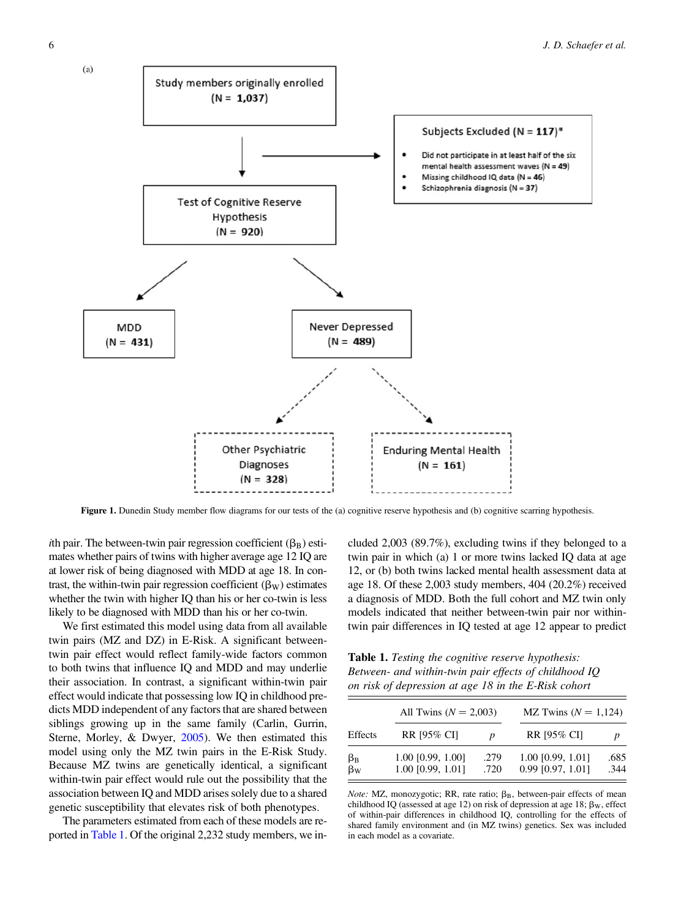<span id="page-5-0"></span>

Figure 1. Dunedin Study member flow diagrams for our tests of the (a) cognitive reserve hypothesis and (b) cognitive scarring hypothesis.

ith pair. The between-twin pair regression coefficient  $(\beta_B)$  estimates whether pairs of twins with higher average age 12 IQ are at lower risk of being diagnosed with MDD at age 18. In contrast, the within-twin pair regression coefficient  $(\beta_W)$  estimates whether the twin with higher IQ than his or her co-twin is less likely to be diagnosed with MDD than his or her co-twin.

We first estimated this model using data from all available twin pairs (MZ and DZ) in E-Risk. A significant betweentwin pair effect would reflect family-wide factors common to both twins that influence IQ and MDD and may underlie their association. In contrast, a significant within-twin pair effect would indicate that possessing low IQ in childhood predicts MDD independent of any factors that are shared between siblings growing up in the same family (Carlin, Gurrin, Sterne, Morley, & Dwyer, [2005\)](#page-12-0). We then estimated this model using only the MZ twin pairs in the E-Risk Study. Because MZ twins are genetically identical, a significant within-twin pair effect would rule out the possibility that the association between IQ and MDD arises solely due to a shared genetic susceptibility that elevates risk of both phenotypes.

The parameters estimated from each of these models are reported in Table 1. Of the original 2,232 study members, we included 2,003 (89.7%), excluding twins if they belonged to a twin pair in which (a) 1 or more twins lacked IQ data at age 12, or (b) both twins lacked mental health assessment data at age 18. Of these 2,003 study members, 404 (20.2%) received a diagnosis of MDD. Both the full cohort and MZ twin only models indicated that neither between-twin pair nor withintwin pair differences in IQ tested at age 12 appear to predict

Table 1. Testing the cognitive reserve hypothesis: Between- and within-twin pair effects of childhood IQ on risk of depression at age 18 in the E-Risk cohort

|                           | All Twins ( $N = 2,003$ )                   |              | MZ Twins $(N = 1,124)$                   |              |  |
|---------------------------|---------------------------------------------|--------------|------------------------------------------|--------------|--|
| Effects                   | RR [95% CI]                                 | n            | RR [95% CI]                              | D            |  |
| $\frac{\beta_B}{\beta_W}$ | $1.00$ [0.99, $1.00$ ]<br>1.00 [0.99, 1.01] | .279<br>.720 | 1.00 [0.99, 1.01]<br>$0.99$ [0.97, 1.01] | .685<br>.344 |  |

Note: MZ, monozygotic; RR, rate ratio;  $\beta_B$ , between-pair effects of mean childhood IQ (assessed at age 12) on risk of depression at age 18;  $\beta_W$ , effect of within-pair differences in childhood IQ, controlling for the effects of shared family environment and (in MZ twins) genetics. Sex was included in each model as a covariate.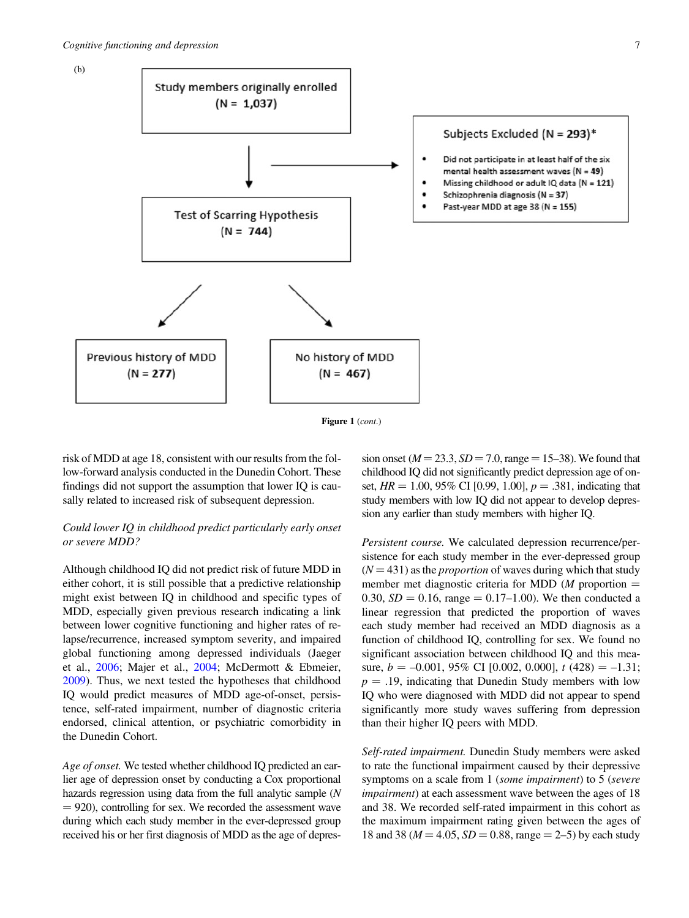

Figure 1 (cont.)

risk of MDD at age 18, consistent with our results from the follow-forward analysis conducted in the Dunedin Cohort. These findings did not support the assumption that lower IQ is causally related to increased risk of subsequent depression.

# Could lower IQ in childhood predict particularly early onset or severe MDD?

Although childhood IQ did not predict risk of future MDD in either cohort, it is still possible that a predictive relationship might exist between IQ in childhood and specific types of MDD, especially given previous research indicating a link between lower cognitive functioning and higher rates of relapse/recurrence, increased symptom severity, and impaired global functioning among depressed individuals (Jaeger et al., [2006;](#page-13-0) Majer et al., [2004](#page-13-0); McDermott & Ebmeier, [2009](#page-13-0)). Thus, we next tested the hypotheses that childhood IQ would predict measures of MDD age-of-onset, persistence, self-rated impairment, number of diagnostic criteria endorsed, clinical attention, or psychiatric comorbidity in the Dunedin Cohort.

Age of onset. We tested whether childhood IQ predicted an earlier age of depression onset by conducting a Cox proportional hazards regression using data from the full analytic sample (N  $= 920$ , controlling for sex. We recorded the assessment wave during which each study member in the ever-depressed group received his or her first diagnosis of MDD as the age of depression onset ( $M = 23.3$ ,  $SD = 7.0$ , range = 15–38). We found that childhood IQ did not significantly predict depression age of onset,  $HR = 1.00$ , 95% CI [0.99, 1.00],  $p = .381$ , indicating that study members with low IQ did not appear to develop depression any earlier than study members with higher IQ.

Persistent course. We calculated depression recurrence/persistence for each study member in the ever-depressed group  $(N = 431)$  as the *proportion* of waves during which that study member met diagnostic criteria for MDD ( $M$  proportion  $=$ 0.30,  $SD = 0.16$ , range = 0.17–1.00). We then conducted a linear regression that predicted the proportion of waves each study member had received an MDD diagnosis as a function of childhood IQ, controlling for sex. We found no significant association between childhood IQ and this measure,  $b = -0.001$ , 95% CI [0.002, 0.000],  $t$  (428) = -1.31;  $p = .19$ , indicating that Dunedin Study members with low IQ who were diagnosed with MDD did not appear to spend significantly more study waves suffering from depression than their higher IQ peers with MDD.

Self-rated impairment. Dunedin Study members were asked to rate the functional impairment caused by their depressive symptoms on a scale from 1 (some impairment) to 5 (severe impairment) at each assessment wave between the ages of 18 and 38. We recorded self-rated impairment in this cohort as the maximum impairment rating given between the ages of 18 and 38 ( $M = 4.05$ ,  $SD = 0.88$ , range  $= 2-5$ ) by each study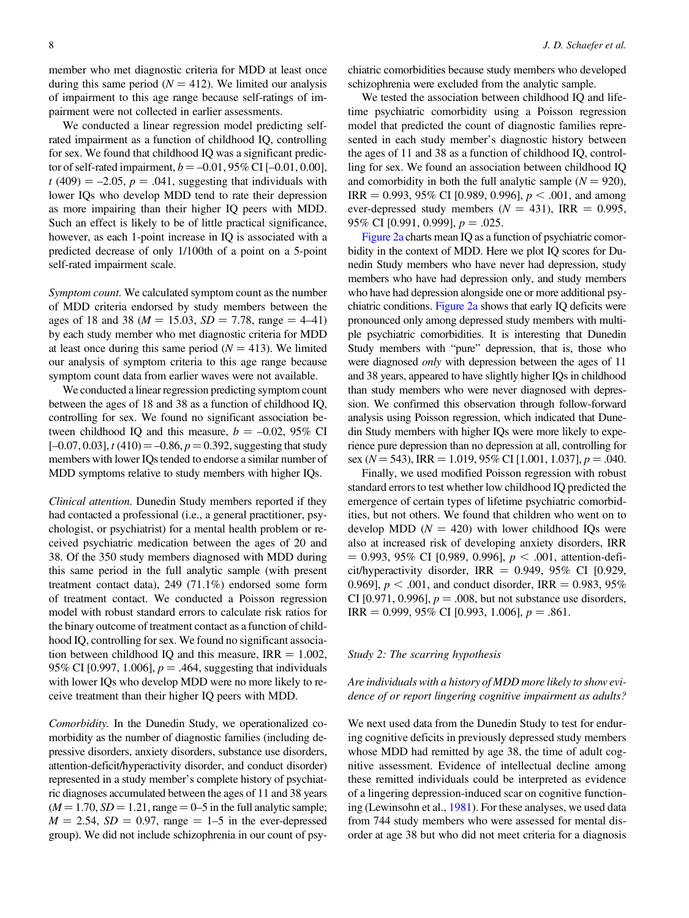member who met diagnostic criteria for MDD at least once during this same period ( $N = 412$ ). We limited our analysis of impairment to this age range because self-ratings of impairment were not collected in earlier assessments.

We conducted a linear regression model predicting selfrated impairment as a function of childhood IQ, controlling for sex. We found that childhood IQ was a significant predictor of self-rated impairment,  $b = -0.01, 95\%$  CI [-0.01, 0.00],  $t(409) = -2.05$ ,  $p = .041$ , suggesting that individuals with lower IQs who develop MDD tend to rate their depression as more impairing than their higher IQ peers with MDD. Such an effect is likely to be of little practical significance, however, as each 1-point increase in IQ is associated with a predicted decrease of only 1/100th of a point on a 5-point self-rated impairment scale.

Symptom count. We calculated symptom count as the number of MDD criteria endorsed by study members between the ages of 18 and 38 ( $M = 15.03$ ,  $SD = 7.78$ , range  $= 4-41$ ) by each study member who met diagnostic criteria for MDD at least once during this same period ( $N = 413$ ). We limited our analysis of symptom criteria to this age range because symptom count data from earlier waves were not available.

We conducted a linear regression predicting symptom count between the ages of 18 and 38 as a function of childhood IQ, controlling for sex. We found no significant association between childhood IQ and this measure,  $b = -0.02$ , 95% CI  $[-0.07, 0.03]$ ,  $t(410) = -0.86$ ,  $p = 0.392$ , suggesting that study members with lower IQs tended to endorse a similar number of MDD symptoms relative to study members with higher IQs.

Clinical attention. Dunedin Study members reported if they had contacted a professional (i.e., a general practitioner, psychologist, or psychiatrist) for a mental health problem or received psychiatric medication between the ages of 20 and 38. Of the 350 study members diagnosed with MDD during this same period in the full analytic sample (with present treatment contact data), 249 (71.1%) endorsed some form of treatment contact. We conducted a Poisson regression model with robust standard errors to calculate risk ratios for the binary outcome of treatment contact as a function of childhood IQ, controlling for sex. We found no significant association between childhood IQ and this measure, IRR  $= 1.002$ , 95% CI [0.997, 1.006],  $p = .464$ , suggesting that individuals with lower IQs who develop MDD were no more likely to receive treatment than their higher IQ peers with MDD.

Comorbidity. In the Dunedin Study, we operationalized comorbidity as the number of diagnostic families (including depressive disorders, anxiety disorders, substance use disorders, attention-deficit/hyperactivity disorder, and conduct disorder) represented in a study member's complete history of psychiatric diagnoses accumulated between the ages of 11 and 38 years  $(M = 1.70, SD = 1.21, range = 0-5$  in the full analytic sample;  $M = 2.54$ ,  $SD = 0.97$ , range = 1–5 in the ever-depressed group). We did not include schizophrenia in our count of psychiatric comorbidities because study members who developed schizophrenia were excluded from the analytic sample.

We tested the association between childhood IQ and lifetime psychiatric comorbidity using a Poisson regression model that predicted the count of diagnostic families represented in each study member's diagnostic history between the ages of 11 and 38 as a function of childhood IQ, controlling for sex. We found an association between childhood IQ and comorbidity in both the full analytic sample  $(N = 920)$ ,  $IRR = 0.993, 95\% CI [0.989, 0.996], p < .001, and among$ ever-depressed study members ( $N = 431$ ), IRR = 0.995, 95% CI [0.991, 0.999],  $p = .025$ .

[Figure 2a](#page-8-0) charts mean IQ as a function of psychiatric comorbidity in the context of MDD. Here we plot IQ scores for Dunedin Study members who have never had depression, study members who have had depression only, and study members who have had depression alongside one or more additional psychiatric conditions. [Figure 2a](#page-8-0) shows that early IQ deficits were pronounced only among depressed study members with multiple psychiatric comorbidities. It is interesting that Dunedin Study members with "pure" depression, that is, those who were diagnosed only with depression between the ages of 11 and 38 years, appeared to have slightly higher IQs in childhood than study members who were never diagnosed with depression. We confirmed this observation through follow-forward analysis using Poisson regression, which indicated that Dunedin Study members with higher IQs were more likely to experience pure depression than no depression at all, controlling for sex ( $N = 543$ ), IRR = 1.019, 95% CI [1.001, 1.037],  $p = .040$ .

Finally, we used modified Poisson regression with robust standard errors to test whether low childhood IQ predicted the emergence of certain types of lifetime psychiatric comorbidities, but not others. We found that children who went on to develop MDD ( $N = 420$ ) with lower childhood IQs were also at increased risk of developing anxiety disorders, IRR  $= 0.993, 95\% \text{ CI}$  [0.989, 0.996],  $p < .001$ , attention-deficit/hyperactivity disorder, IRR =  $0.949, 95\%$  CI [0.929, 0.969],  $p < .001$ , and conduct disorder, IRR = 0.983, 95% CI [0.971, 0.996],  $p = .008$ , but not substance use disorders,  $IRR = 0.999, 95\% CI [0.993, 1.006], p = .861.$ 

## Study 2: The scarring hypothesis

# Are individuals with a history of MDD more likely to show evidence of or report lingering cognitive impairment as adults?

We next used data from the Dunedin Study to test for enduring cognitive deficits in previously depressed study members whose MDD had remitted by age 38, the time of adult cognitive assessment. Evidence of intellectual decline among these remitted individuals could be interpreted as evidence of a lingering depression-induced scar on cognitive functioning (Lewinsohn et al., [1981\)](#page-13-0). For these analyses, we used data from 744 study members who were assessed for mental disorder at age 38 but who did not meet criteria for a diagnosis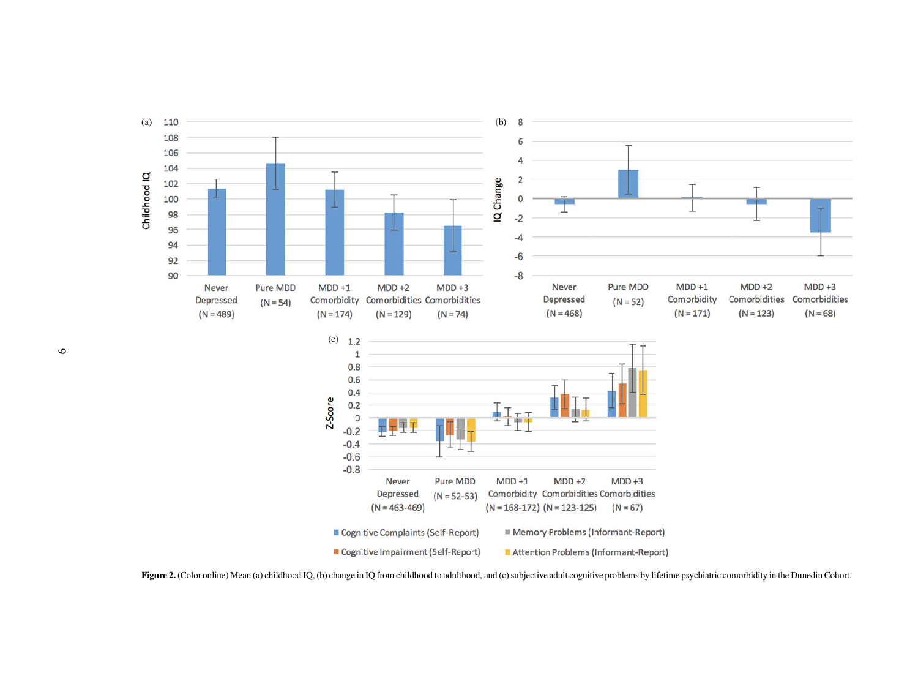<span id="page-8-0"></span>

Figure 2. (Color online) Mean (a) childhood IQ, (b) change in IQ from childhood to adulthood, and (c) subjective adult cognitive problems by lifetime psychiatric comorbidity in the Dunedin Cohort.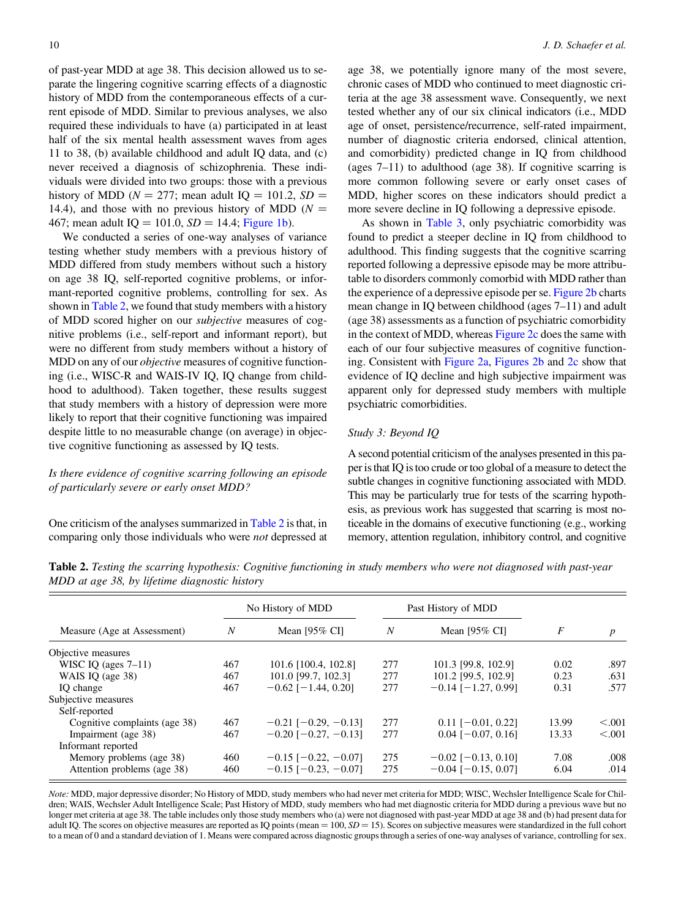of past-year MDD at age 38. This decision allowed us to separate the lingering cognitive scarring effects of a diagnostic history of MDD from the contemporaneous effects of a current episode of MDD. Similar to previous analyses, we also required these individuals to have (a) participated in at least half of the six mental health assessment waves from ages 11 to 38, (b) available childhood and adult IQ data, and (c) never received a diagnosis of schizophrenia. These individuals were divided into two groups: those with a previous history of MDD ( $N = 277$ ; mean adult IQ = 101.2, SD = 14.4), and those with no previous history of MDD ( $N =$ 467; mean adult IQ = 101.0,  $SD = 14.4$ ; [Figure 1b](#page-5-0)).

We conducted a series of one-way analyses of variance testing whether study members with a previous history of MDD differed from study members without such a history on age 38 IQ, self-reported cognitive problems, or informant-reported cognitive problems, controlling for sex. As shown in Table 2, we found that study members with a history of MDD scored higher on our subjective measures of cognitive problems (i.e., self-report and informant report), but were no different from study members without a history of MDD on any of our objective measures of cognitive functioning (i.e., WISC-R and WAIS-IV IQ, IQ change from childhood to adulthood). Taken together, these results suggest that study members with a history of depression were more likely to report that their cognitive functioning was impaired despite little to no measurable change (on average) in objective cognitive functioning as assessed by IQ tests.

# Is there evidence of cognitive scarring following an episode of particularly severe or early onset MDD?

One criticism of the analyses summarized in Table 2 is that, in comparing only those individuals who were not depressed at

age 38, we potentially ignore many of the most severe, chronic cases of MDD who continued to meet diagnostic criteria at the age 38 assessment wave. Consequently, we next tested whether any of our six clinical indicators (i.e., MDD age of onset, persistence/recurrence, self-rated impairment, number of diagnostic criteria endorsed, clinical attention, and comorbidity) predicted change in IQ from childhood (ages 7–11) to adulthood (age 38). If cognitive scarring is more common following severe or early onset cases of MDD, higher scores on these indicators should predict a more severe decline in IQ following a depressive episode.

As shown in [Table 3,](#page-10-0) only psychiatric comorbidity was found to predict a steeper decline in IQ from childhood to adulthood. This finding suggests that the cognitive scarring reported following a depressive episode may be more attributable to disorders commonly comorbid with MDD rather than the experience of a depressive episode per se. [Figure 2b](#page-8-0) charts mean change in IQ between childhood (ages 7–11) and adult (age 38) assessments as a function of psychiatric comorbidity in the context of MDD, whereas [Figure 2c](#page-8-0) does the same with each of our four subjective measures of cognitive functioning. Consistent with [Figure 2a](#page-8-0), [Figures 2b](#page-8-0) and [2c](#page-8-0) show that evidence of IQ decline and high subjective impairment was apparent only for depressed study members with multiple psychiatric comorbidities.

# Study 3: Beyond IQ

A second potential criticism of the analyses presented in this paper is that IQ is too crude or too global of a measure to detect the subtle changes in cognitive functioning associated with MDD. This may be particularly true for tests of the scarring hypothesis, as previous work has suggested that scarring is most noticeable in the domains of executive functioning (e.g., working memory, attention regulation, inhibitory control, and cognitive

Table 2. Testing the scarring hypothesis: Cognitive functioning in study members who were not diagnosed with past-year MDD at age 38, by lifetime diagnostic history

|                               | No History of MDD |                               | Past History of MDD |                           |       |                  |
|-------------------------------|-------------------|-------------------------------|---------------------|---------------------------|-------|------------------|
| Measure (Age at Assessment)   | $\boldsymbol{N}$  | Mean $[95\%$ CI]              | $\boldsymbol{N}$    | Mean $[95\%$ CI]          | F     | $\boldsymbol{p}$ |
| Objective measures            |                   |                               |                     |                           |       |                  |
| WISC IQ (ages $7-11$ )        | 467               | 101.6 [100.4, 102.8]          | 277                 | 101.3 [99.8, 102.9]       | 0.02  | .897             |
| WAIS IQ (age 38)              | 467               | 101.0 [99.7, 102.3]           | 277                 | 101.2 [99.5, 102.9]       | 0.23  | .631             |
| IO change                     | 467               | $-0.62$ [ $-1.44$ , 0.20]     | 277                 | $-0.14$ [ $-1.27$ , 0.99] | 0.31  | .577             |
| Subjective measures           |                   |                               |                     |                           |       |                  |
| Self-reported                 |                   |                               |                     |                           |       |                  |
| Cognitive complaints (age 38) | 467               | $-0.21$ [ $-0.29$ , $-0.13$ ] | 277                 | $0.11$ [-0.01, 0.22]      | 13.99 | < 0.001          |
| Impairment (age 38)           | 467               | $-0.20$ [ $-0.27, -0.13$ ]    | 277                 | $0.04$ [-0.07, 0.16]      | 13.33 | < 0.001          |
| Informant reported            |                   |                               |                     |                           |       |                  |
| Memory problems (age 38)      | 460               | $-0.15$ [ $-0.22, -0.07$ ]    | 275                 | $-0.02$ [ $-0.13$ , 0.10] | 7.08  | .008             |
| Attention problems (age 38)   | 460               | $-0.15$ [ $-0.23$ , $-0.07$ ] | 275                 | $-0.04$ [ $-0.15$ , 0.07] | 6.04  | .014             |

Note: MDD, major depressive disorder; No History of MDD, study members who had never met criteria for MDD; WISC, Wechsler Intelligence Scale for Children; WAIS, Wechsler Adult Intelligence Scale; Past History of MDD, study members who had met diagnostic criteria for MDD during a previous wave but no longer met criteria at age 38. The table includes only those study members who (a) were not diagnosed with past-year MDD at age 38 and (b) had present data for adult IQ. The scores on objective measures are reported as IQ points (mean  $= 100$ ,  $SD = 15$ ). Scores on subjective measures were standardized in the full cohort to a mean of 0 and a standard deviation of 1. Means were compared across diagnostic groups through a series of one-way analyses of variance, controlling for sex.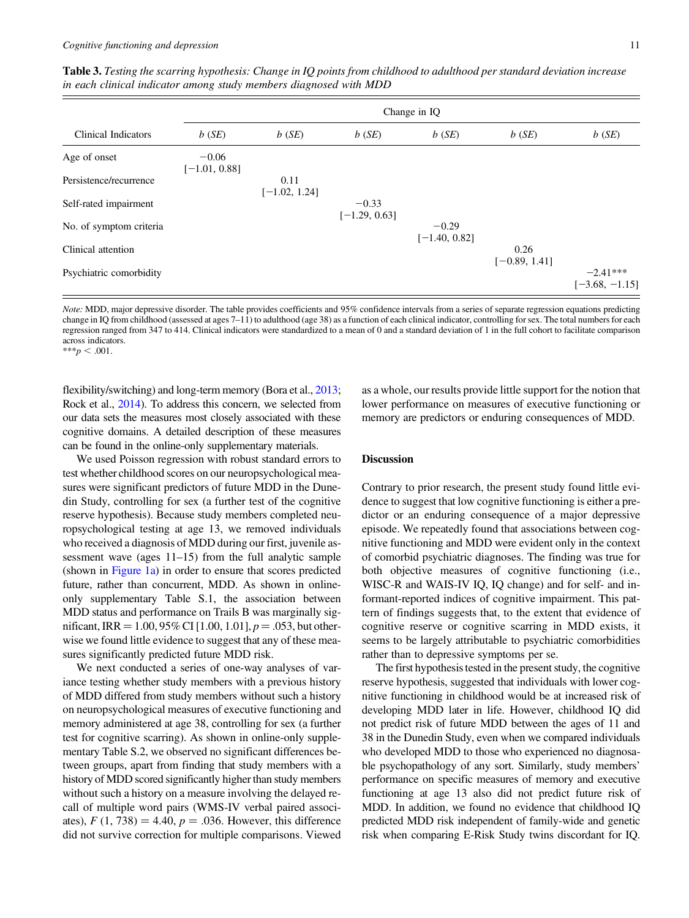<span id="page-10-0"></span>

|                                                                   | Table 3. Testing the scarring hypothesis: Change in IQ points from childhood to adulthood per standard deviation increase |  |
|-------------------------------------------------------------------|---------------------------------------------------------------------------------------------------------------------------|--|
| in each clinical indicator among study members diagnosed with MDD |                                                                                                                           |  |

|                         | Change in IQ               |                         |                            |                            |                         |                                |  |
|-------------------------|----------------------------|-------------------------|----------------------------|----------------------------|-------------------------|--------------------------------|--|
| Clinical Indicators     | b(SE)                      | b(SE)                   | b(SE)                      | $b$ (SE)                   | $b$ (SE)                | b(SE)                          |  |
| Age of onset            | $-0.06$<br>$[-1.01, 0.88]$ |                         |                            |                            |                         |                                |  |
| Persistence/recurrence  |                            | 0.11<br>$[-1.02, 1.24]$ |                            |                            |                         |                                |  |
| Self-rated impairment   |                            |                         | $-0.33$<br>$[-1.29, 0.63]$ |                            |                         |                                |  |
| No. of symptom criteria |                            |                         |                            | $-0.29$<br>$[-1.40, 0.82]$ |                         |                                |  |
| Clinical attention      |                            |                         |                            |                            | 0.26<br>$[-0.89, 1.41]$ |                                |  |
| Psychiatric comorbidity |                            |                         |                            |                            |                         | $-2.41***$<br>$[-3.68, -1.15]$ |  |

Note: MDD, major depressive disorder. The table provides coefficients and 95% confidence intervals from a series of separate regression equations predicting change in IQ from childhood (assessed at ages 7–11) to adulthood (age 38) as a function of each clinical indicator, controlling for sex. The total numbers for each regression ranged from 347 to 414. Clinical indicators were standardized to a mean of 0 and a standard deviation of 1 in the full cohort to facilitate comparison across indicators.

\*\*\* $p < .001$ .

flexibility/switching) and long-term memory (Bora et al., [2013](#page-12-0); Rock et al., [2014](#page-13-0)). To address this concern, we selected from our data sets the measures most closely associated with these cognitive domains. A detailed description of these measures can be found in the online-only supplementary materials.

We used Poisson regression with robust standard errors to test whether childhood scores on our neuropsychological measures were significant predictors of future MDD in the Dunedin Study, controlling for sex (a further test of the cognitive reserve hypothesis). Because study members completed neuropsychological testing at age 13, we removed individuals who received a diagnosis of MDD during our first, juvenile assessment wave (ages 11–15) from the full analytic sample (shown in [Figure 1a\)](#page-5-0) in order to ensure that scores predicted future, rather than concurrent, MDD. As shown in onlineonly supplementary Table S.1, the association between MDD status and performance on Trails B was marginally significant, IRR =  $1.00, 95\%$  CI [1.00, 1.01],  $p = .053$ , but otherwise we found little evidence to suggest that any of these measures significantly predicted future MDD risk.

We next conducted a series of one-way analyses of variance testing whether study members with a previous history of MDD differed from study members without such a history on neuropsychological measures of executive functioning and memory administered at age 38, controlling for sex (a further test for cognitive scarring). As shown in online-only supplementary Table S.2, we observed no significant differences between groups, apart from finding that study members with a history of MDD scored significantly higher than study members without such a history on a measure involving the delayed recall of multiple word pairs (WMS-IV verbal paired associates),  $F(1, 738) = 4.40$ ,  $p = .036$ . However, this difference did not survive correction for multiple comparisons. Viewed

as a whole, our results provide little support for the notion that lower performance on measures of executive functioning or memory are predictors or enduring consequences of MDD.

# **Discussion**

Contrary to prior research, the present study found little evidence to suggest that low cognitive functioning is either a predictor or an enduring consequence of a major depressive episode. We repeatedly found that associations between cognitive functioning and MDD were evident only in the context of comorbid psychiatric diagnoses. The finding was true for both objective measures of cognitive functioning (i.e., WISC-R and WAIS-IV IQ, IQ change) and for self- and informant-reported indices of cognitive impairment. This pattern of findings suggests that, to the extent that evidence of cognitive reserve or cognitive scarring in MDD exists, it seems to be largely attributable to psychiatric comorbidities rather than to depressive symptoms per se.

The first hypothesis tested in the present study, the cognitive reserve hypothesis, suggested that individuals with lower cognitive functioning in childhood would be at increased risk of developing MDD later in life. However, childhood IQ did not predict risk of future MDD between the ages of 11 and 38 in the Dunedin Study, even when we compared individuals who developed MDD to those who experienced no diagnosable psychopathology of any sort. Similarly, study members' performance on specific measures of memory and executive functioning at age 13 also did not predict future risk of MDD. In addition, we found no evidence that childhood IQ predicted MDD risk independent of family-wide and genetic risk when comparing E-Risk Study twins discordant for IQ.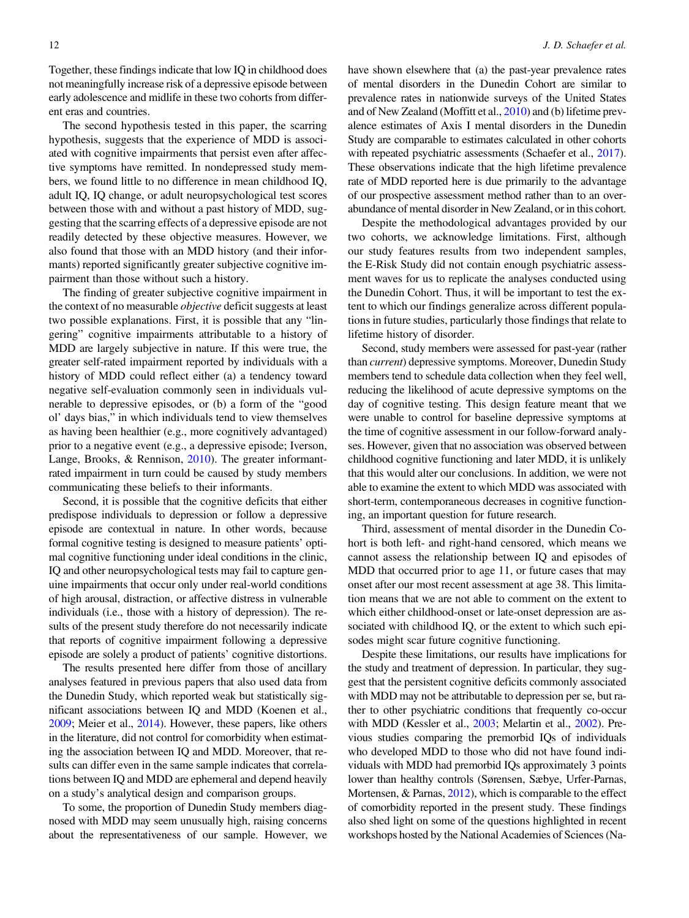Together, these findings indicate that low IQ in childhood does not meaningfully increase risk of a depressive episode between early adolescence and midlife in these two cohorts from different eras and countries.

The second hypothesis tested in this paper, the scarring hypothesis, suggests that the experience of MDD is associated with cognitive impairments that persist even after affective symptoms have remitted. In nondepressed study members, we found little to no difference in mean childhood IQ, adult IQ, IQ change, or adult neuropsychological test scores between those with and without a past history of MDD, suggesting that the scarring effects of a depressive episode are not readily detected by these objective measures. However, we also found that those with an MDD history (and their informants) reported significantly greater subjective cognitive impairment than those without such a history.

The finding of greater subjective cognitive impairment in the context of no measurable objective deficit suggests at least two possible explanations. First, it is possible that any "lingering" cognitive impairments attributable to a history of MDD are largely subjective in nature. If this were true, the greater self-rated impairment reported by individuals with a history of MDD could reflect either (a) a tendency toward negative self-evaluation commonly seen in individuals vulnerable to depressive episodes, or (b) a form of the "good ol' days bias," in which individuals tend to view themselves as having been healthier (e.g., more cognitively advantaged) prior to a negative event (e.g., a depressive episode; Iverson, Lange, Brooks, & Rennison, [2010\)](#page-13-0). The greater informantrated impairment in turn could be caused by study members communicating these beliefs to their informants.

Second, it is possible that the cognitive deficits that either predispose individuals to depression or follow a depressive episode are contextual in nature. In other words, because formal cognitive testing is designed to measure patients' optimal cognitive functioning under ideal conditions in the clinic, IQ and other neuropsychological tests may fail to capture genuine impairments that occur only under real-world conditions of high arousal, distraction, or affective distress in vulnerable individuals (i.e., those with a history of depression). The results of the present study therefore do not necessarily indicate that reports of cognitive impairment following a depressive episode are solely a product of patients' cognitive distortions.

The results presented here differ from those of ancillary analyses featured in previous papers that also used data from the Dunedin Study, which reported weak but statistically significant associations between IQ and MDD (Koenen et al., [2009;](#page-13-0) Meier et al., [2014\)](#page-13-0). However, these papers, like others in the literature, did not control for comorbidity when estimating the association between IQ and MDD. Moreover, that results can differ even in the same sample indicates that correlations between IQ and MDD are ephemeral and depend heavily on a study's analytical design and comparison groups.

To some, the proportion of Dunedin Study members diagnosed with MDD may seem unusually high, raising concerns about the representativeness of our sample. However, we have shown elsewhere that (a) the past-year prevalence rates of mental disorders in the Dunedin Cohort are similar to prevalence rates in nationwide surveys of the United States and of New Zealand (Moffitt et al., [2010\)](#page-13-0) and (b) lifetime prevalence estimates of Axis I mental disorders in the Dunedin Study are comparable to estimates calculated in other cohorts with repeated psychiatric assessments (Schaefer et al., [2017](#page-13-0)). These observations indicate that the high lifetime prevalence rate of MDD reported here is due primarily to the advantage of our prospective assessment method rather than to an overabundance of mental disorder in New Zealand, or in this cohort.

Despite the methodological advantages provided by our two cohorts, we acknowledge limitations. First, although our study features results from two independent samples, the E-Risk Study did not contain enough psychiatric assessment waves for us to replicate the analyses conducted using the Dunedin Cohort. Thus, it will be important to test the extent to which our findings generalize across different populations in future studies, particularly those findings that relate to lifetime history of disorder.

Second, study members were assessed for past-year (rather than current) depressive symptoms. Moreover, Dunedin Study members tend to schedule data collection when they feel well, reducing the likelihood of acute depressive symptoms on the day of cognitive testing. This design feature meant that we were unable to control for baseline depressive symptoms at the time of cognitive assessment in our follow-forward analyses. However, given that no association was observed between childhood cognitive functioning and later MDD, it is unlikely that this would alter our conclusions. In addition, we were not able to examine the extent to which MDD was associated with short-term, contemporaneous decreases in cognitive functioning, an important question for future research.

Third, assessment of mental disorder in the Dunedin Cohort is both left- and right-hand censored, which means we cannot assess the relationship between IQ and episodes of MDD that occurred prior to age 11, or future cases that may onset after our most recent assessment at age 38. This limitation means that we are not able to comment on the extent to which either childhood-onset or late-onset depression are associated with childhood IQ, or the extent to which such episodes might scar future cognitive functioning.

Despite these limitations, our results have implications for the study and treatment of depression. In particular, they suggest that the persistent cognitive deficits commonly associated with MDD may not be attributable to depression per se, but rather to other psychiatric conditions that frequently co-occur with MDD (Kessler et al., [2003](#page-13-0); Melartin et al., [2002](#page-13-0)). Previous studies comparing the premorbid IQs of individuals who developed MDD to those who did not have found individuals with MDD had premorbid IQs approximately 3 points lower than healthy controls (Sørensen, Sæbye, Urfer-Parnas, Mortensen, & Parnas, [2012\)](#page-14-0), which is comparable to the effect of comorbidity reported in the present study. These findings also shed light on some of the questions highlighted in recent workshops hosted by the National Academies of Sciences (Na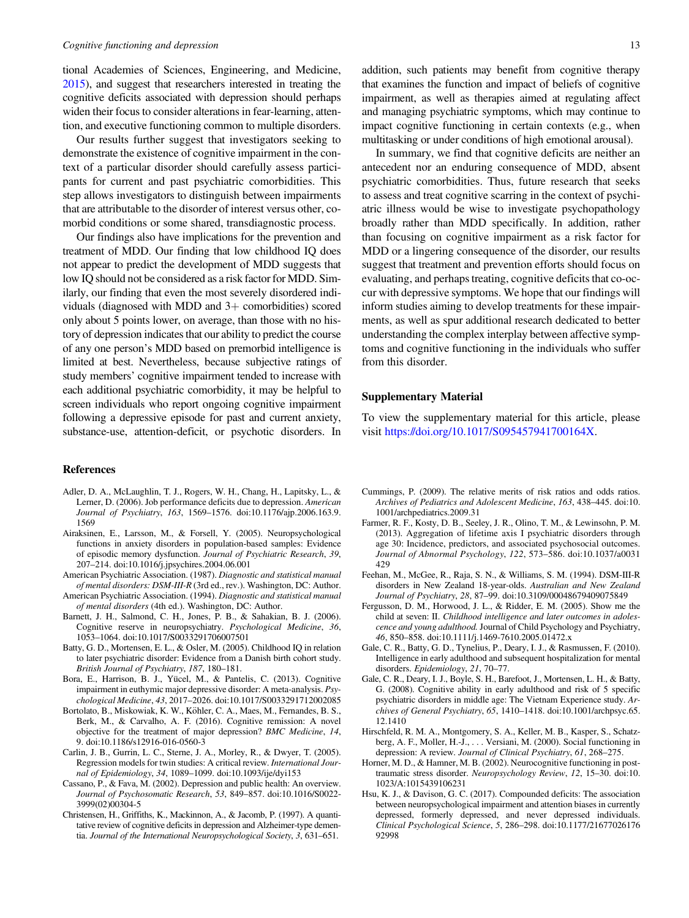<span id="page-12-0"></span>tional Academies of Sciences, Engineering, and Medicine, [2015\)](#page-13-0), and suggest that researchers interested in treating the cognitive deficits associated with depression should perhaps widen their focus to consider alterations in fear-learning, attention, and executive functioning common to multiple disorders.

Our results further suggest that investigators seeking to demonstrate the existence of cognitive impairment in the context of a particular disorder should carefully assess participants for current and past psychiatric comorbidities. This step allows investigators to distinguish between impairments that are attributable to the disorder of interest versus other, comorbid conditions or some shared, transdiagnostic process.

Our findings also have implications for the prevention and treatment of MDD. Our finding that low childhood IQ does not appear to predict the development of MDD suggests that low IQ should not be considered as a risk factor for MDD. Similarly, our finding that even the most severely disordered individuals (diagnosed with MDD and  $3+$  comorbidities) scored only about 5 points lower, on average, than those with no history of depression indicates that our ability to predict the course of any one person's MDD based on premorbid intelligence is limited at best. Nevertheless, because subjective ratings of study members' cognitive impairment tended to increase with each additional psychiatric comorbidity, it may be helpful to screen individuals who report ongoing cognitive impairment following a depressive episode for past and current anxiety, substance-use, attention-deficit, or psychotic disorders. In

## References

- Adler, D. A., McLaughlin, T. J., Rogers, W. H., Chang, H., Lapitsky, L., & Lerner, D. (2006). Job performance deficits due to depression. American Journal of Psychiatry, 163, 1569–1576. doi:10.1176/ajp.2006.163.9. 1569
- Airaksinen, E., Larsson, M., & Forsell, Y. (2005). Neuropsychological functions in anxiety disorders in population-based samples: Evidence of episodic memory dysfunction. Journal of Psychiatric Research, 39, 207–214. doi:10.1016/j.jpsychires.2004.06.001
- American Psychiatric Association. (1987). Diagnostic and statistical manual of mental disorders: DSM-III-R (3rd ed., rev.). Washington, DC: Author.
- American Psychiatric Association. (1994). Diagnostic and statistical manual of mental disorders (4th ed.). Washington, DC: Author.
- Barnett, J. H., Salmond, C. H., Jones, P. B., & Sahakian, B. J. (2006). Cognitive reserve in neuropsychiatry. Psychological Medicine, 36, 1053–1064. doi:10.1017/S0033291706007501
- Batty, G. D., Mortensen, E. L., & Osler, M. (2005). Childhood IQ in relation to later psychiatric disorder: Evidence from a Danish birth cohort study. British Journal of Psychiatry, 187, 180–181.
- Bora, E., Harrison, B. J., Yücel, M., & Pantelis, C. (2013). Cognitive impairment in euthymic major depressive disorder: A meta-analysis. Psychological Medicine, 43, 2017–2026. doi:10.1017/S0033291712002085
- Bortolato, B., Miskowiak, K. W., Köhler, C. A., Maes, M., Fernandes, B. S., Berk, M., & Carvalho, A. F. (2016). Cognitive remission: A novel objective for the treatment of major depression? BMC Medicine, 14, 9. doi:10.1186/s12916-016-0560-3
- Carlin, J. B., Gurrin, L. C., Sterne, J. A., Morley, R., & Dwyer, T. (2005). Regression models for twin studies: A critical review. International Journal of Epidemiology, 34, 1089–1099. doi:10.1093/ije/dyi153
- Cassano, P., & Fava, M. (2002). Depression and public health: An overview. Journal of Psychosomatic Research, 53, 849–857. doi:10.1016/S0022- 3999(02)00304-5
- Christensen, H., Griffiths, K., Mackinnon, A., & Jacomb, P. (1997). A quantitative review of cognitive deficits in depression and Alzheimer-type dementia. Journal of the International Neuropsychological Society, 3, 631–651.

addition, such patients may benefit from cognitive therapy that examines the function and impact of beliefs of cognitive impairment, as well as therapies aimed at regulating affect and managing psychiatric symptoms, which may continue to impact cognitive functioning in certain contexts (e.g., when multitasking or under conditions of high emotional arousal).

In summary, we find that cognitive deficits are neither an antecedent nor an enduring consequence of MDD, absent psychiatric comorbidities. Thus, future research that seeks to assess and treat cognitive scarring in the context of psychiatric illness would be wise to investigate psychopathology broadly rather than MDD specifically. In addition, rather than focusing on cognitive impairment as a risk factor for MDD or a lingering consequence of the disorder, our results suggest that treatment and prevention efforts should focus on evaluating, and perhaps treating, cognitive deficits that co-occur with depressive symptoms. We hope that our findings will inform studies aiming to develop treatments for these impairments, as well as spur additional research dedicated to better understanding the complex interplay between affective symptoms and cognitive functioning in the individuals who suffer from this disorder.

### Supplementary Material

To view the supplementary material for this article, please visit <https://doi.org/10.1017/S095457941700164X>.

- Cummings, P. (2009). The relative merits of risk ratios and odds ratios. Archives of Pediatrics and Adolescent Medicine, 163, 438–445. doi:10. 1001/archpediatrics.2009.31
- Farmer, R. F., Kosty, D. B., Seeley, J. R., Olino, T. M., & Lewinsohn, P. M. (2013). Aggregation of lifetime axis I psychiatric disorders through age 30: Incidence, predictors, and associated psychosocial outcomes. Journal of Abnormal Psychology, 122, 573–586. doi:10.1037/a0031 429
- Feehan, M., McGee, R., Raja, S. N., & Williams, S. M. (1994). DSM-III-R disorders in New Zealand 18-year-olds. Australian and New Zealand Journal of Psychiatry, 28, 87–99. doi:10.3109/00048679409075849
- Fergusson, D. M., Horwood, J. L., & Ridder, E. M. (2005). Show me the child at seven: II. Childhood intelligence and later outcomes in adolescence and young adulthood. Journal of Child Psychology and Psychiatry, 46, 850–858. doi:10.1111/j.1469-7610.2005.01472.x
- Gale, C. R., Batty, G. D., Tynelius, P., Deary, I. J., & Rasmussen, F. (2010). Intelligence in early adulthood and subsequent hospitalization for mental disorders. Epidemiology, 21, 70–77.
- Gale, C. R., Deary, I. J., Boyle, S. H., Barefoot, J., Mortensen, L. H., & Batty, G. (2008). Cognitive ability in early adulthood and risk of 5 specific psychiatric disorders in middle age: The Vietnam Experience study. Archives of General Psychiatry, 65, 1410–1418. doi:10.1001/archpsyc.65. 12.1410
- Hirschfeld, R. M. A., Montgomery, S. A., Keller, M. B., Kasper, S., Schatzberg, A. F., Moller, H.-J., ...Versiani, M. (2000). Social functioning in depression: A review. Journal of Clinical Psychiatry, 61, 268–275.
- Horner, M. D., & Hamner, M. B. (2002). Neurocognitive functioning in posttraumatic stress disorder. Neuropsychology Review, 12, 15–30. doi:10. 1023/A:1015439106231
- Hsu, K. J., & Davison, G. C. (2017). Compounded deficits: The association between neuropsychological impairment and attention biases in currently depressed, formerly depressed, and never depressed individuals. Clinical Psychological Science, 5, 286–298. doi:10.1177/21677026176 92998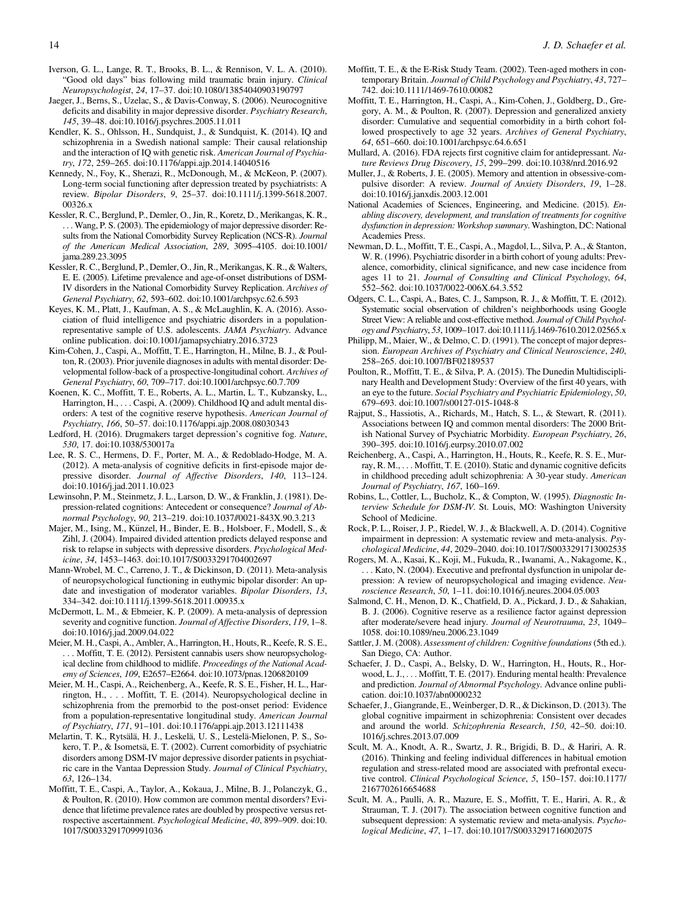- <span id="page-13-0"></span>Iverson, G. L., Lange, R. T., Brooks, B. L., & Rennison, V. L. A. (2010). "Good old days" bias following mild traumatic brain injury. Clinical Neuropsychologist, 24, 17–37. doi:10.1080/13854040903190797
- Jaeger, J., Berns, S., Uzelac, S., & Davis-Conway, S. (2006). Neurocognitive deficits and disability in major depressive disorder. Psychiatry Research, 145, 39–48. doi:10.1016/j.psychres.2005.11.011
- Kendler, K. S., Ohlsson, H., Sundquist, J., & Sundquist, K. (2014). IQ and schizophrenia in a Swedish national sample: Their causal relationship and the interaction of IQ with genetic risk. American Journal of Psychiatry, 172, 259–265. doi:10.1176/appi.ajp.2014.14040516
- Kennedy, N., Foy, K., Sherazi, R., McDonough, M., & McKeon, P. (2007). Long-term social functioning after depression treated by psychiatrists: A review. Bipolar Disorders, 9, 25–37. doi:10.1111/j.1399-5618.2007. 00326.x
- Kessler, R. C., Berglund, P., Demler, O., Jin, R., Koretz, D., Merikangas, K. R., . . . Wang, P. S. (2003). The epidemiology of major depressive disorder: Results from the National Comorbidity Survey Replication (NCS-R). Journal of the American Medical Association, 289, 3095–4105. doi:10.1001/ jama.289.23.3095
- Kessler, R. C., Berglund, P., Demler, O., Jin, R., Merikangas, K. R., & Walters, E. E. (2005). Lifetime prevalence and age-of-onset distributions of DSM-IV disorders in the National Comorbidity Survey Replication. Archives of General Psychiatry, 62, 593–602. doi:10.1001/archpsyc.62.6.593
- Keyes, K. M., Platt, J., Kaufman, A. S., & McLaughlin, K. A. (2016). Association of fluid intelligence and psychiatric disorders in a populationrepresentative sample of U.S. adolescents. JAMA Psychiatry. Advance online publication. doi:10.1001/jamapsychiatry.2016.3723
- Kim-Cohen, J., Caspi, A., Moffitt, T. E., Harrington, H., Milne, B. J., & Poulton, R. (2003). Prior juvenile diagnoses in adults with mental disorder: Developmental follow-back of a prospective-longitudinal cohort. Archives of General Psychiatry, 60, 709–717. doi:10.1001/archpsyc.60.7.709
- Koenen, K. C., Moffitt, T. E., Roberts, A. L., Martin, L. T., Kubzansky, L., Harrington, H., . . . Caspi, A. (2009). Childhood IQ and adult mental disorders: A test of the cognitive reserve hypothesis. American Journal of Psychiatry, 166, 50–57. doi:10.1176/appi.ajp.2008.08030343
- Ledford, H. (2016). Drugmakers target depression's cognitive fog. Nature, 530, 17. doi:10.1038/530017a
- Lee, R. S. C., Hermens, D. F., Porter, M. A., & Redoblado-Hodge, M. A. (2012). A meta-analysis of cognitive deficits in first-episode major depressive disorder. Journal of Affective Disorders, 140, 113–124. doi:10.1016/j.jad.2011.10.023
- Lewinsohn, P. M., Steinmetz, J. L., Larson, D. W., & Franklin, J. (1981). Depression-related cognitions: Antecedent or consequence? Journal of Abnormal Psychology, 90, 213–219. doi:10.1037//0021-843X.90.3.213
- Majer, M., Ising, M., Künzel, H., Binder, E. B., Holsboer, F., Modell, S., & Zihl, J. (2004). Impaired divided attention predicts delayed response and risk to relapse in subjects with depressive disorders. Psychological Medicine, 34, 1453–1463. doi:10.1017/S0033291704002697
- Mann-Wrobel, M. C., Carreno, J. T., & Dickinson, D. (2011). Meta-analysis of neuropsychological functioning in euthymic bipolar disorder: An update and investigation of moderator variables. Bipolar Disorders, 13, 334–342. doi:10.1111/j.1399-5618.2011.00935.x
- McDermott, L. M., & Ebmeier, K. P. (2009). A meta-analysis of depression severity and cognitive function. Journal of Affective Disorders, 119, 1–8. doi:10.1016/j.jad.2009.04.022
- Meier, M. H., Caspi, A., Ambler, A., Harrington, H., Houts, R., Keefe, R. S. E., . . . Moffitt, T. E. (2012). Persistent cannabis users show neuropsychological decline from childhood to midlife. Proceedings of the National Academy of Sciences, 109, E2657–E2664. doi:10.1073/pnas.1206820109
- Meier, M. H., Caspi, A., Reichenberg, A., Keefe, R. S. E., Fisher, H. L., Harrington, H., . . . Moffitt, T. E. (2014). Neuropsychological decline in schizophrenia from the premorbid to the post-onset period: Evidence from a population-representative longitudinal study. American Journal of Psychiatry, 171, 91–101. doi:10.1176/appi.ajp.2013.12111438
- Melartin, T. K., Rytsälä, H. J., Leskelä, U. S., Lestelä-Mielonen, P. S., Sokero, T. P., & Isometsä, E. T. (2002). Current comorbidity of psychiatric disorders among DSM-IV major depressive disorder patients in psychiatric care in the Vantaa Depression Study. Journal of Clinical Psychiatry, 63, 126–134.
- Moffitt, T. E., Caspi, A., Taylor, A., Kokaua, J., Milne, B. J., Polanczyk, G., & Poulton, R. (2010). How common are common mental disorders? Evidence that lifetime prevalence rates are doubled by prospective versus retrospective ascertainment. Psychological Medicine, 40, 899–909. doi:10. 1017/S0033291709991036
- Moffitt, T. E., & the E-Risk Study Team. (2002). Teen-aged mothers in contemporary Britain. Journal of Child Psychology and Psychiatry, 43, 727– 742. doi:10.1111/1469-7610.00082
- Moffitt, T. E., Harrington, H., Caspi, A., Kim-Cohen, J., Goldberg, D., Gregory, A. M., & Poulton, R. (2007). Depression and generalized anxiety disorder: Cumulative and sequential comorbidity in a birth cohort followed prospectively to age 32 years. Archives of General Psychiatry, 64, 651–660. doi:10.1001/archpsyc.64.6.651
- Mullard, A. (2016). FDA rejects first cognitive claim for antidepressant. Nature Reviews Drug Discovery, 15, 299–299. doi:10.1038/nrd.2016.92
- Muller, J., & Roberts, J. E. (2005). Memory and attention in obsessive-compulsive disorder: A review. Journal of Anxiety Disorders, 19, 1–28. doi:10.1016/j.janxdis.2003.12.001
- National Academies of Sciences, Engineering, and Medicine. (2015). Enabling discovery, development, and translation of treatments for cognitive dysfunction in depression: Workshop summary. Washington, DC: National Academies Press.
- Newman, D. L., Moffitt, T. E., Caspi, A., Magdol, L., Silva, P. A., & Stanton, W. R. (1996). Psychiatric disorder in a birth cohort of young adults: Prevalence, comorbidity, clinical significance, and new case incidence from ages 11 to 21. Journal of Consulting and Clinical Psychology, 64, 552–562. doi:10.1037/0022-006X.64.3.552
- Odgers, C. L., Caspi, A., Bates, C. J., Sampson, R. J., & Moffitt, T. E. (2012). Systematic social observation of children's neighborhoods using Google Street View: A reliable and cost-effective method. Journal of Child Psychology and Psychiatry, 53, 1009–1017. doi:10.1111/j.1469-7610.2012.02565.x
- Philipp, M., Maier, W., & Delmo, C. D. (1991). The concept of major depression. European Archives of Psychiatry and Clinical Neuroscience, 240, 258–265. doi:10.1007/BF02189537
- Poulton, R., Moffitt, T. E., & Silva, P. A. (2015). The Dunedin Multidisciplinary Health and Development Study: Overview of the first 40 years, with an eye to the future. Social Psychiatry and Psychiatric Epidemiology, 50, 679–693. doi:10.1007/s00127-015-1048-8
- Rajput, S., Hassiotis, A., Richards, M., Hatch, S. L., & Stewart, R. (2011). Associations between IQ and common mental disorders: The 2000 British National Survey of Psychiatric Morbidity. European Psychiatry, 26, 390–395. doi:10.1016/j.eurpsy.2010.07.002
- Reichenberg, A., Caspi, A., Harrington, H., Houts, R., Keefe, R. S. E., Murray, R. M., . . . Moffitt, T. E. (2010). Static and dynamic cognitive deficits in childhood preceding adult schizophrenia: A 30-year study. American Journal of Psychiatry, 167, 160–169.
- Robins, L., Cottler, L., Bucholz, K., & Compton, W. (1995). Diagnostic Interview Schedule for DSM-IV. St. Louis, MO: Washington University School of Medicine.
- Rock, P. L., Roiser, J. P., Riedel, W. J., & Blackwell, A. D. (2014). Cognitive impairment in depression: A systematic review and meta-analysis. Psychological Medicine, 44, 2029–2040. doi:10.1017/S0033291713002535
- Rogers, M. A., Kasai, K., Koji, M., Fukuda, R., Iwanami, A., Nakagome, K., . . . Kato, N. (2004). Executive and prefrontal dysfunction in unipolar depression: A review of neuropsychological and imaging evidence. Neuroscience Research, 50, 1–11. doi:10.1016/j.neures.2004.05.003
- Salmond, C. H., Menon, D. K., Chatfield, D. A., Pickard, J. D., & Sahakian, B. J. (2006). Cognitive reserve as a resilience factor against depression after moderate/severe head injury. Journal of Neurotrauma, 23, 1049– 1058. doi:10.1089/neu.2006.23.1049
- Sattler, J. M. (2008). Assessment of children: Cognitive foundations (5th ed.). San Diego, CA: Author.
- Schaefer, J. D., Caspi, A., Belsky, D. W., Harrington, H., Houts, R., Horwood, L. J., . . . Moffitt, T. E. (2017). Enduring mental health: Prevalence and prediction. Journal of Abnormal Psychology. Advance online publication. doi:10.1037/abn0000232
- Schaefer, J., Giangrande, E., Weinberger, D. R., & Dickinson, D. (2013). The global cognitive impairment in schizophrenia: Consistent over decades and around the world. Schizophrenia Research, 150, 42–50. doi:10. 1016/j.schres.2013.07.009
- Scult, M. A., Knodt, A. R., Swartz, J. R., Brigidi, B. D., & Hariri, A. R. (2016). Thinking and feeling individual differences in habitual emotion regulation and stress-related mood are associated with prefrontal executive control. Clinical Psychological Science, 5, 150–157. doi:10.1177/ 2167702616654688
- Scult, M. A., Paulli, A. R., Mazure, E. S., Moffitt, T. E., Hariri, A. R., & Strauman, T. J. (2017). The association between cognitive function and subsequent depression: A systematic review and meta-analysis. Psychological Medicine, 47, 1–17. doi:10.1017/S0033291716002075